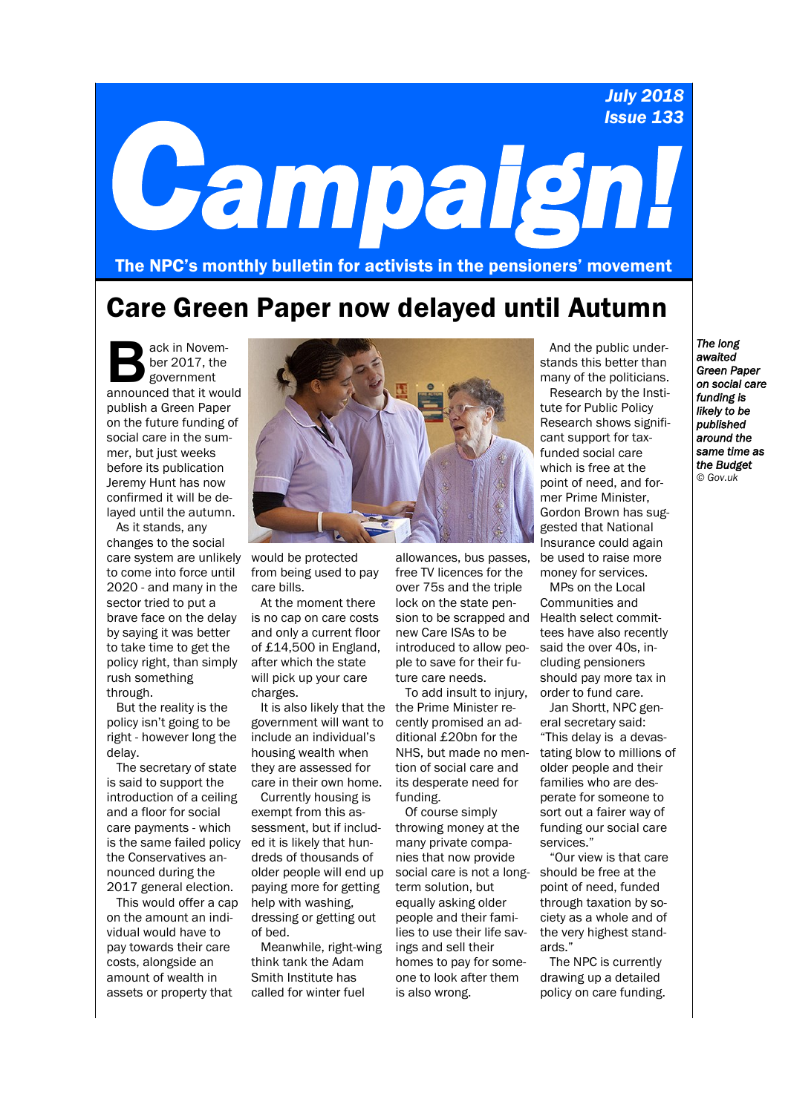### *July 2018 Issue 133*

# *Campaign!*

The NPC's monthly bulletin for activists in the pensioners' movement

## Care Green Paper now delayed until Autumn

and the Table of the Sovernment<br>
announced that it would ack in November 2017, the government publish a Green Paper on the future funding of social care in the summer, but just weeks before its publication Jeremy Hunt has now confirmed it will be delayed until the autumn.

As it stands, any changes to the social care system are unlikely to come into force until 2020 - and many in the sector tried to put a brave face on the delay by saying it was better to take time to get the policy right, than simply rush something through.

But the reality is the policy isn't going to be right - however long the delay.

The secretary of state is said to support the introduction of a ceiling and a floor for social care payments - which is the same failed policy the Conservatives announced during the 2017 general election.

This would offer a cap on the amount an individual would have to pay towards their care costs, alongside an amount of wealth in assets or property that



would be protected from being used to pay care bills.

At the moment there is no cap on care costs and only a current floor of £14,500 in England, after which the state will pick up your care charges.

government will want to include an individual's housing wealth when they are assessed for care in their own home.

Currently housing is exempt from this assessment, but if included it is likely that hundreds of thousands of older people will end up paying more for getting help with washing, dressing or getting out of bed.

Meanwhile, right-wing think tank the Adam Smith Institute has called for winter fuel

allowances, bus passes, free TV licences for the over 75s and the triple lock on the state pension to be scrapped and Health select commitnew Care ISAs to be introduced to allow people to save for their future care needs.

It is also likely that the the Prime Minister re-To add insult to injury, cently promised an additional £20bn for the NHS, but made no mention of social care and its desperate need for funding.

Of course simply throwing money at the many private companies that now provide social care is not a longterm solution, but equally asking older people and their families to use their life savings and sell their homes to pay for someone to look after them is also wrong.

And the public understands this better than many of the politicians.

Research by the Institute for Public Policy Research shows significant support for taxfunded social care which is free at the point of need, and former Prime Minister, Gordon Brown has suggested that National Insurance could again be used to raise more money for services.

MPs on the Local Communities and tees have also recently said the over 40s, including pensioners should pay more tax in order to fund care.

Jan Shortt, NPC general secretary said: "This delay is a devastating blow to millions of older people and their families who are desperate for someone to sort out a fairer way of funding our social care services."

"Our view is that care should be free at the point of need, funded through taxation by society as a whole and of the very highest standards."

The NPC is currently drawing up a detailed policy on care funding.

*The long awaited Green Paper on social care funding is likely to be published around the same time as the Budget © Gov.uk*